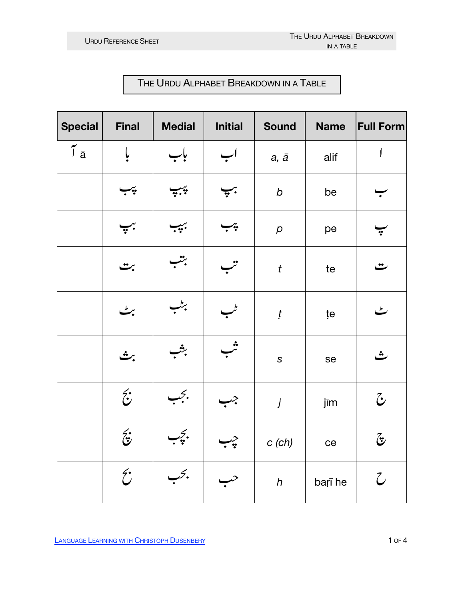## THE URDU ALPHABET BREAKDOWN IN A TABLE

| <b>Special</b>        | <b>Final</b>          | <b>Medial</b>    | <b>Initial</b>     | <b>Sound</b>        | <b>Name</b> | <b>Full Form</b>         |
|-----------------------|-----------------------|------------------|--------------------|---------------------|-------------|--------------------------|
| $\tilde{I}$ $\bar{a}$ | ļ                     | باب              | اب                 | $a, \bar{a}$        | alif        | J                        |
|                       | چپ                    | $\sum_{i=1}^{n}$ | $\overline{\cdot}$ | $\boldsymbol{b}$    | be          |                          |
|                       | $\frac{1}{r}$ .       | بببب             | $\div$             | $\boldsymbol{\rho}$ | pe          | $\ddot{\cdot}$           |
|                       | بت                    | بتب              | تنب                | $\boldsymbol{t}$    | te          | ٽ                        |
|                       | پره                   | بركلب            |                    | $\boldsymbol{t}$    | țe          | ٹ                        |
|                       | برشى                  | بثب              | ثب                 | $\mathsf S$         | se          | $\ddot{r}$               |
|                       | $\hat{c}$             | بجب              | جب                 | j                   | jīm         | $\tilde{\mathcal{C}}$    |
|                       | $\hat{\mathbf{z}}$    | بجب              | چپىر               | $c$ (ch)            | ce          | $\widetilde{\mathbf{G}}$ |
|                       | $\tilde{\mathcal{C}}$ | بحب              |                    | $\boldsymbol{h}$    | barī he     | $\mathcal{C}$            |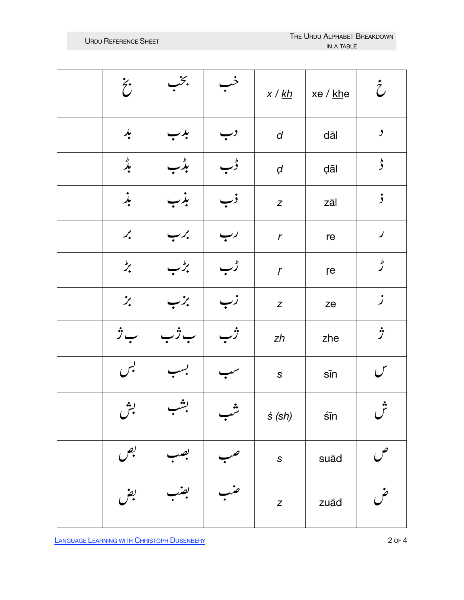| $\ddot{\tilde{c}}$                   | بخب                       |                             | x / k h          | xe / <u>kh</u> e | $\dot{\tilde{\mathcal{C}}}$      |
|--------------------------------------|---------------------------|-----------------------------|------------------|------------------|----------------------------------|
| $\frac{1}{2}$                        | بدب                       | دب                          | $\boldsymbol{d}$ | dāl              | $\overline{\phantom{a}}$         |
| $\stackrel{b}{\star}$                | بڈب                       | ڈب                          | $\boldsymbol{d}$ | dāl              | ط<br>و                           |
| بذ                                   | بدب                       | ذب                          | $\boldsymbol{Z}$ | zāl              | $\mathbf{j}$                     |
| $\boldsymbol{\mathcal{L}}_{\bullet}$ | برب                       |                             | $\mathbf r$      | re               | $\blacktriangleright$            |
| $\overline{z}$                       | برطب                      | ڑب                          | $\boldsymbol{r}$ | re               | ط<br>گر                          |
| $\ddot{z}$                           | ーン                        |                             | $\boldsymbol{z}$ | ze               | $\mathcal{I}$                    |
| بِرُ                                 |                           |                             | zh               | zhe              | ゔ                                |
| لبس                                  |                           |                             | $\mathsf S$      | $s\bar{m}$       | س                                |
| ېش                                   | بشه<br>$\overline{\cdot}$ | $\boldsymbol{\mathring{u}}$ | s(sh)            | $s\bar{m}$       | $\mathcal{C}^{\mathbf{\hat{z}}}$ |
| بص                                   |                           |                             | $\mathsf{s}$     | suād             |                                  |
| بض                                   |                           |                             | $\boldsymbol{Z}$ | zuād             |                                  |

**LANGUAGE LEARNING WITH CHRISTOPH DUSENBERY**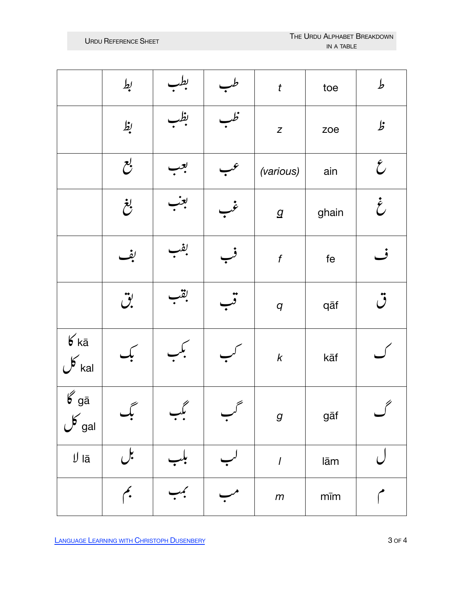|                                             | بط                         |               |     | $\boldsymbol{t}$ | toe        | $\pmb{b}$                 |
|---------------------------------------------|----------------------------|---------------|-----|------------------|------------|---------------------------|
|                                             | بظ                         | بظہ           |     | $\overline{z}$   | zoe        | $\pmb{\mathit{b}}$        |
|                                             | $\mathcal{C}^{\prime}$     |               |     | (various)        | ain        | $\mathcal{E}$             |
|                                             | بغ                         | بعب           |     | $\boldsymbol{g}$ | ghain      | $\dot{\mathcal{E}}$       |
|                                             | بف                         | بفب           |     | $\boldsymbol{f}$ | $f$ e      | ف                         |
|                                             | $\ddot{\mathcal{C}}$       | بقنب          |     | $\boldsymbol{q}$ | qāf        | $\ddot{\bm{\mathcal{O}}}$ |
| $6k\bar{a}$<br>$\sigma$ kal                 |                            |               |     | $\boldsymbol{k}$ | kāf        |                           |
| $\overline{\mathscr{L}}$ gā<br>$\sigma$ gal | سم<br>بك                   | $\mathcal{C}$ | ستح | $\boldsymbol{g}$ | gāf        | $\ell$                    |
| $\ensuremath{\mathsf{U}}$ lā                | بل                         |               |     | $\overline{I}$   | lām        |                           |
|                                             | $\boldsymbol{\hat{\cdot}}$ |               |     | $\,m$            | $m\bar{m}$ |                           |